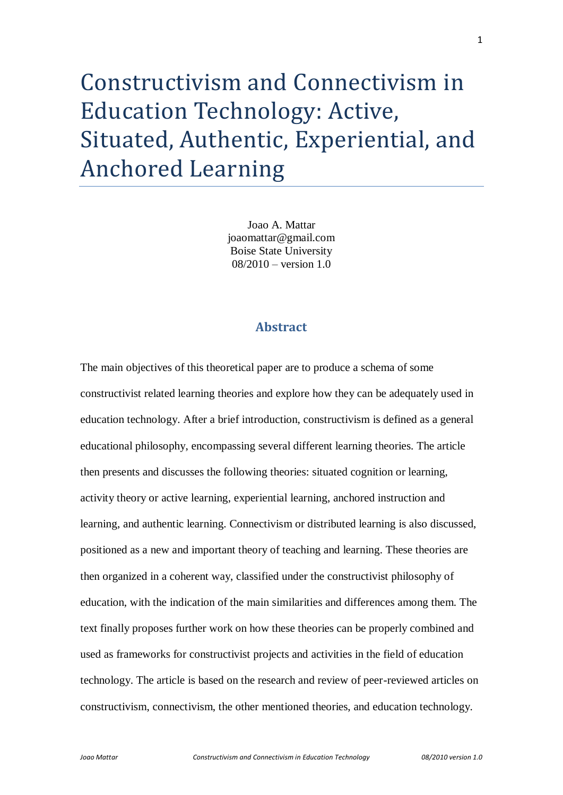# Constructivism and Connectivism in Education Technology: Active, Situated, Authentic, Experiential, and Anchored Learning

Joao A. Mattar joaomattar@gmail.com Boise State University 08/2010 – version 1.0

# **Abstract**

The main objectives of this theoretical paper are to produce a schema of some constructivist related learning theories and explore how they can be adequately used in education technology. After a brief introduction, constructivism is defined as a general educational philosophy, encompassing several different learning theories. The article then presents and discusses the following theories: situated cognition or learning, activity theory or active learning, experiential learning, anchored instruction and learning, and authentic learning. Connectivism or distributed learning is also discussed, positioned as a new and important theory of teaching and learning. These theories are then organized in a coherent way, classified under the constructivist philosophy of education, with the indication of the main similarities and differences among them. The text finally proposes further work on how these theories can be properly combined and used as frameworks for constructivist projects and activities in the field of education technology. The article is based on the research and review of peer-reviewed articles on constructivism, connectivism, the other mentioned theories, and education technology.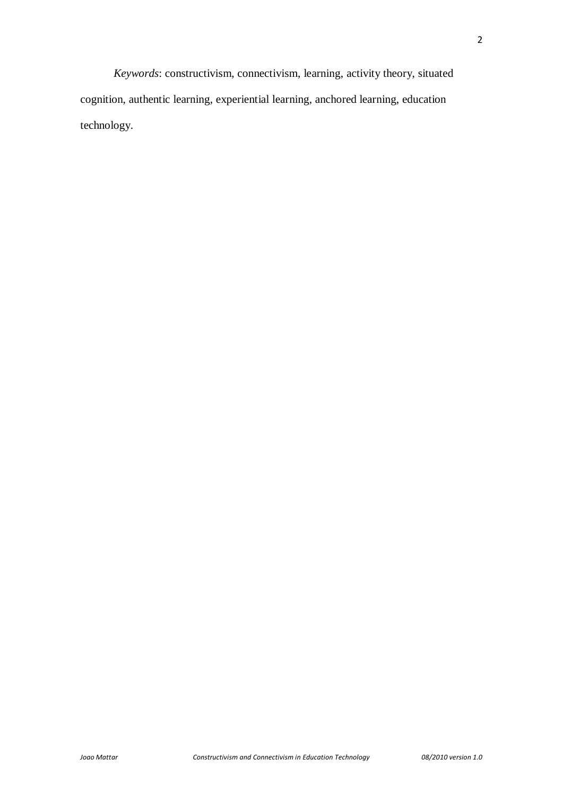*Keywords*: constructivism, connectivism, learning, activity theory, situated cognition, authentic learning, experiential learning, anchored learning, education technology.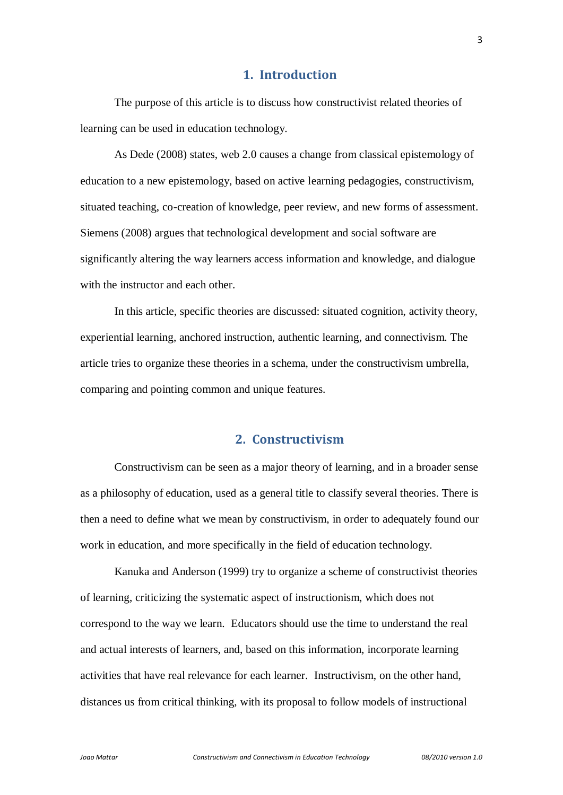## **1. Introduction**

The purpose of this article is to discuss how constructivist related theories of learning can be used in education technology.

As Dede (2008) states, web 2.0 causes a change from classical epistemology of education to a new epistemology, based on active learning pedagogies, constructivism, situated teaching, co-creation of knowledge, peer review, and new forms of assessment. Siemens (2008) argues that technological development and social software are significantly altering the way learners access information and knowledge, and dialogue with the instructor and each other.

In this article, specific theories are discussed: situated cognition, activity theory, experiential learning, anchored instruction, authentic learning, and connectivism. The article tries to organize these theories in a schema, under the constructivism umbrella, comparing and pointing common and unique features.

## **2. Constructivism**

Constructivism can be seen as a major theory of learning, and in a broader sense as a philosophy of education, used as a general title to classify several theories. There is then a need to define what we mean by constructivism, in order to adequately found our work in education, and more specifically in the field of education technology.

Kanuka and Anderson (1999) try to organize a scheme of constructivist theories of learning, criticizing the systematic aspect of instructionism, which does not correspond to the way we learn. Educators should use the time to understand the real and actual interests of learners, and, based on this information, incorporate learning activities that have real relevance for each learner. Instructivism, on the other hand, distances us from critical thinking, with its proposal to follow models of instructional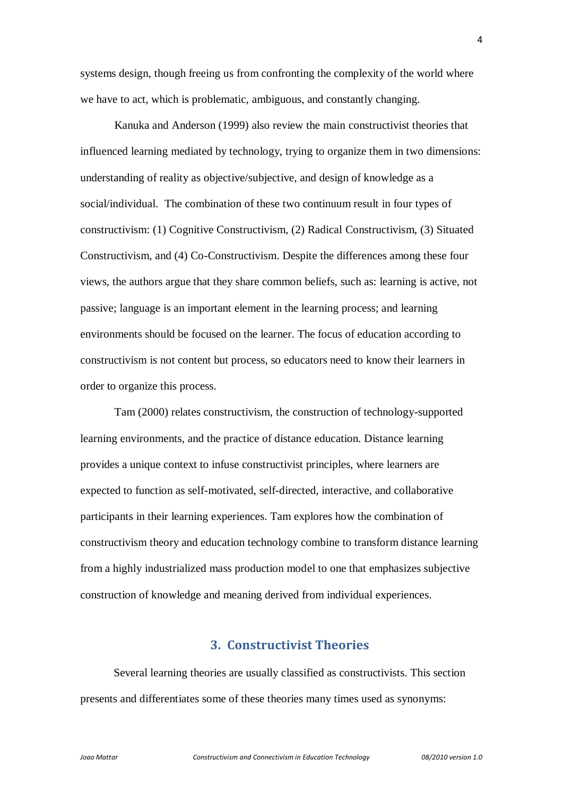systems design, though freeing us from confronting the complexity of the world where we have to act, which is problematic, ambiguous, and constantly changing.

Kanuka and Anderson (1999) also review the main constructivist theories that influenced learning mediated by technology, trying to organize them in two dimensions: understanding of reality as objective/subjective, and design of knowledge as a social/individual. The combination of these two continuum result in four types of constructivism: (1) Cognitive Constructivism, (2) Radical Constructivism, (3) Situated Constructivism, and (4) Co-Constructivism. Despite the differences among these four views, the authors argue that they share common beliefs, such as: learning is active, not passive; language is an important element in the learning process; and learning environments should be focused on the learner. The focus of education according to constructivism is not content but process, so educators need to know their learners in order to organize this process.

Tam (2000) relates constructivism, the construction of technology-supported learning environments, and the practice of distance education. Distance learning provides a unique context to infuse constructivist principles, where learners are expected to function as self-motivated, self-directed, interactive, and collaborative participants in their learning experiences. Tam explores how the combination of constructivism theory and education technology combine to transform distance learning from a highly industrialized mass production model to one that emphasizes subjective construction of knowledge and meaning derived from individual experiences.

#### **3. Constructivist Theories**

Several learning theories are usually classified as constructivists. This section presents and differentiates some of these theories many times used as synonyms: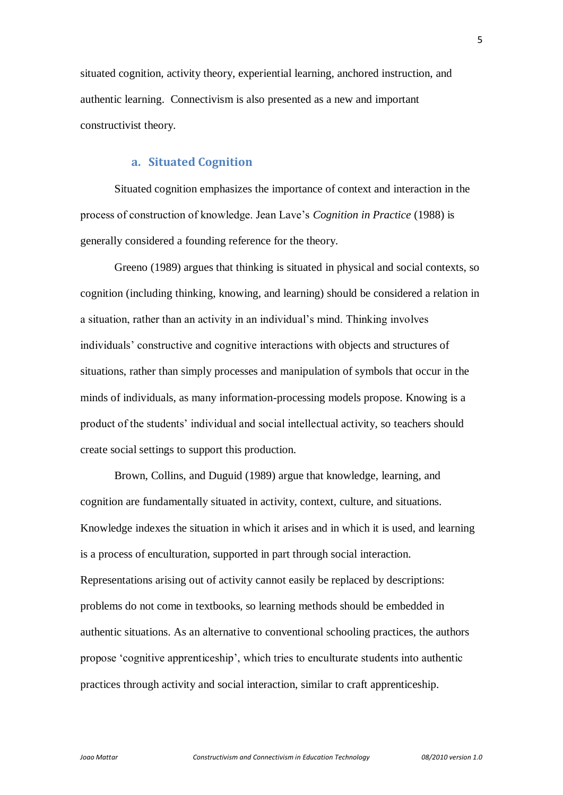situated cognition, activity theory, experiential learning, anchored instruction, and authentic learning. Connectivism is also presented as a new and important constructivist theory.

#### **a. Situated Cognition**

Situated cognition emphasizes the importance of context and interaction in the process of construction of knowledge. Jean Lave"s *Cognition in Practice* (1988) is generally considered a founding reference for the theory.

Greeno (1989) argues that thinking is situated in physical and social contexts, so cognition (including thinking, knowing, and learning) should be considered a relation in a situation, rather than an activity in an individual"s mind. Thinking involves individuals" constructive and cognitive interactions with objects and structures of situations, rather than simply processes and manipulation of symbols that occur in the minds of individuals, as many information-processing models propose. Knowing is a product of the students" individual and social intellectual activity, so teachers should create social settings to support this production.

Brown, Collins, and Duguid (1989) argue that knowledge, learning, and cognition are fundamentally situated in activity, context, culture, and situations. Knowledge indexes the situation in which it arises and in which it is used, and learning is a process of enculturation, supported in part through social interaction. Representations arising out of activity cannot easily be replaced by descriptions: problems do not come in textbooks, so learning methods should be embedded in authentic situations. As an alternative to conventional schooling practices, the authors propose "cognitive apprenticeship", which tries to enculturate students into authentic practices through activity and social interaction, similar to craft apprenticeship.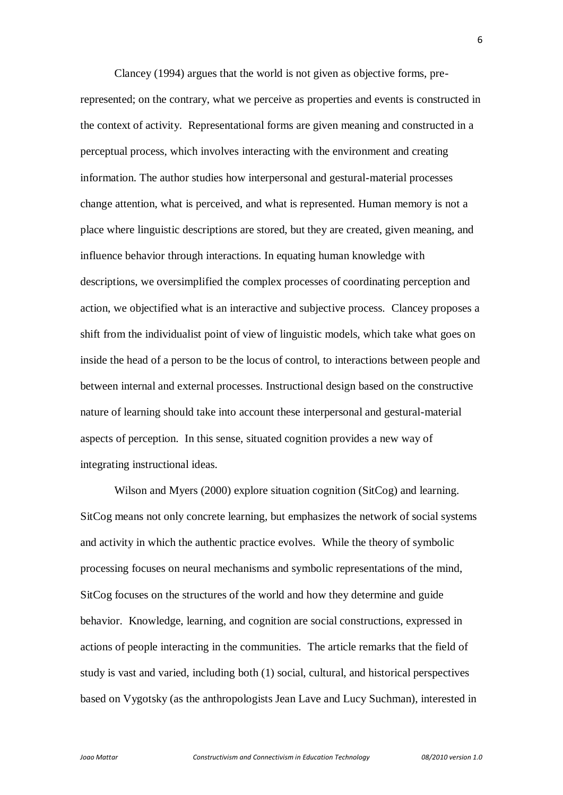Clancey (1994) argues that the world is not given as objective forms, prerepresented; on the contrary, what we perceive as properties and events is constructed in the context of activity. Representational forms are given meaning and constructed in a perceptual process, which involves interacting with the environment and creating information. The author studies how interpersonal and gestural-material processes change attention, what is perceived, and what is represented. Human memory is not a place where linguistic descriptions are stored, but they are created, given meaning, and influence behavior through interactions. In equating human knowledge with descriptions, we oversimplified the complex processes of coordinating perception and action, we objectified what is an interactive and subjective process. Clancey proposes a shift from the individualist point of view of linguistic models, which take what goes on inside the head of a person to be the locus of control, to interactions between people and between internal and external processes. Instructional design based on the constructive nature of learning should take into account these interpersonal and gestural-material aspects of perception. In this sense, situated cognition provides a new way of integrating instructional ideas.

Wilson and Myers (2000) explore situation cognition (SitCog) and learning. SitCog means not only concrete learning, but emphasizes the network of social systems and activity in which the authentic practice evolves. While the theory of symbolic processing focuses on neural mechanisms and symbolic representations of the mind, SitCog focuses on the structures of the world and how they determine and guide behavior. Knowledge, learning, and cognition are social constructions, expressed in actions of people interacting in the communities. The article remarks that the field of study is vast and varied, including both (1) social, cultural, and historical perspectives based on Vygotsky (as the anthropologists Jean Lave and Lucy Suchman), interested in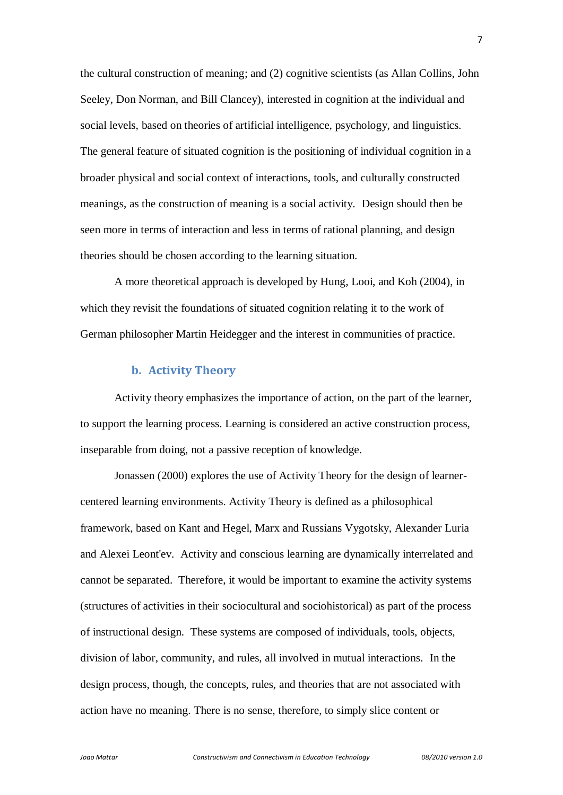the cultural construction of meaning; and (2) cognitive scientists (as Allan Collins, John Seeley, Don Norman, and Bill Clancey), interested in cognition at the individual and social levels, based on theories of artificial intelligence, psychology, and linguistics. The general feature of situated cognition is the positioning of individual cognition in a broader physical and social context of interactions, tools, and culturally constructed meanings, as the construction of meaning is a social activity. Design should then be seen more in terms of interaction and less in terms of rational planning, and design theories should be chosen according to the learning situation.

A more theoretical approach is developed by Hung, Looi, and Koh (2004), in which they revisit the foundations of situated cognition relating it to the work of German philosopher Martin Heidegger and the interest in communities of practice.

### **b. Activity Theory**

Activity theory emphasizes the importance of action, on the part of the learner, to support the learning process. Learning is considered an active construction process, inseparable from doing, not a passive reception of knowledge.

Jonassen (2000) explores the use of Activity Theory for the design of learnercentered learning environments. Activity Theory is defined as a philosophical framework, based on Kant and Hegel, Marx and Russians Vygotsky, Alexander Luria and Alexei Leont'ev. Activity and conscious learning are dynamically interrelated and cannot be separated. Therefore, it would be important to examine the activity systems (structures of activities in their sociocultural and sociohistorical) as part of the process of instructional design. These systems are composed of individuals, tools, objects, division of labor, community, and rules, all involved in mutual interactions. In the design process, though, the concepts, rules, and theories that are not associated with action have no meaning. There is no sense, therefore, to simply slice content or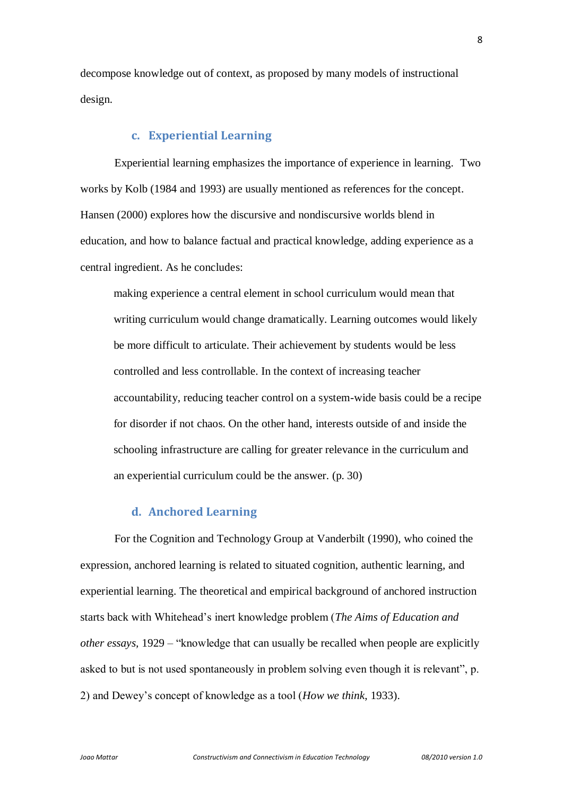decompose knowledge out of context, as proposed by many models of instructional design.

#### **c. Experiential Learning**

Experiential learning emphasizes the importance of experience in learning. Two works by Kolb (1984 and 1993) are usually mentioned as references for the concept. Hansen (2000) explores how the discursive and nondiscursive worlds blend in education, and how to balance factual and practical knowledge, adding experience as a central ingredient. As he concludes:

making experience a central element in school curriculum would mean that writing curriculum would change dramatically. Learning outcomes would likely be more difficult to articulate. Their achievement by students would be less controlled and less controllable. In the context of increasing teacher accountability, reducing teacher control on a system-wide basis could be a recipe for disorder if not chaos. On the other hand, interests outside of and inside the schooling infrastructure are calling for greater relevance in the curriculum and an experiential curriculum could be the answer. (p. 30)

## **d. Anchored Learning**

For the Cognition and Technology Group at Vanderbilt (1990), who coined the expression, anchored learning is related to situated cognition, authentic learning, and experiential learning. The theoretical and empirical background of anchored instruction starts back with Whitehead"s inert knowledge problem (*The Aims of Education and other essays,* 1929 – "knowledge that can usually be recalled when people are explicitly asked to but is not used spontaneously in problem solving even though it is relevant", p. 2) and Dewey"s concept of knowledge as a tool (*How we think*, 1933).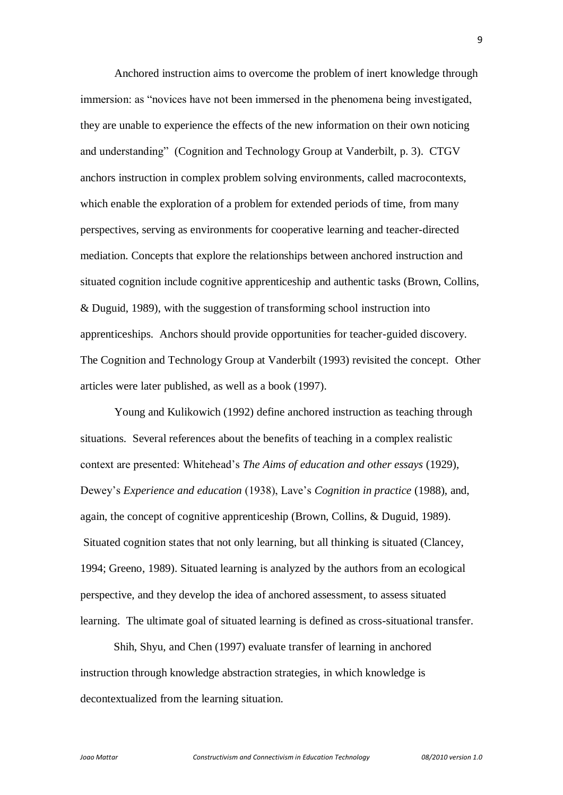Anchored instruction aims to overcome the problem of inert knowledge through immersion: as "novices have not been immersed in the phenomena being investigated, they are unable to experience the effects of the new information on their own noticing and understanding" (Cognition and Technology Group at Vanderbilt, p. 3). CTGV anchors instruction in complex problem solving environments, called macrocontexts, which enable the exploration of a problem for extended periods of time, from many perspectives, serving as environments for cooperative learning and teacher-directed mediation. Concepts that explore the relationships between anchored instruction and situated cognition include cognitive apprenticeship and authentic tasks (Brown, Collins, & Duguid, 1989), with the suggestion of transforming school instruction into apprenticeships. Anchors should provide opportunities for teacher-guided discovery. The Cognition and Technology Group at Vanderbilt (1993) revisited the concept. Other articles were later published, as well as a book (1997).

Young and Kulikowich (1992) define anchored instruction as teaching through situations. Several references about the benefits of teaching in a complex realistic context are presented: Whitehead"s *The Aims of education and other essays* (1929), Dewey"s *Experience and education* (1938), Lave"s *Cognition in practice* (1988), and, again, the concept of cognitive apprenticeship (Brown, Collins, & Duguid, 1989). Situated cognition states that not only learning, but all thinking is situated (Clancey, 1994; Greeno, 1989). Situated learning is analyzed by the authors from an ecological perspective, and they develop the idea of anchored assessment, to assess situated learning. The ultimate goal of situated learning is defined as cross-situational transfer.

Shih, Shyu, and Chen (1997) evaluate transfer of learning in anchored instruction through knowledge abstraction strategies, in which knowledge is decontextualized from the learning situation.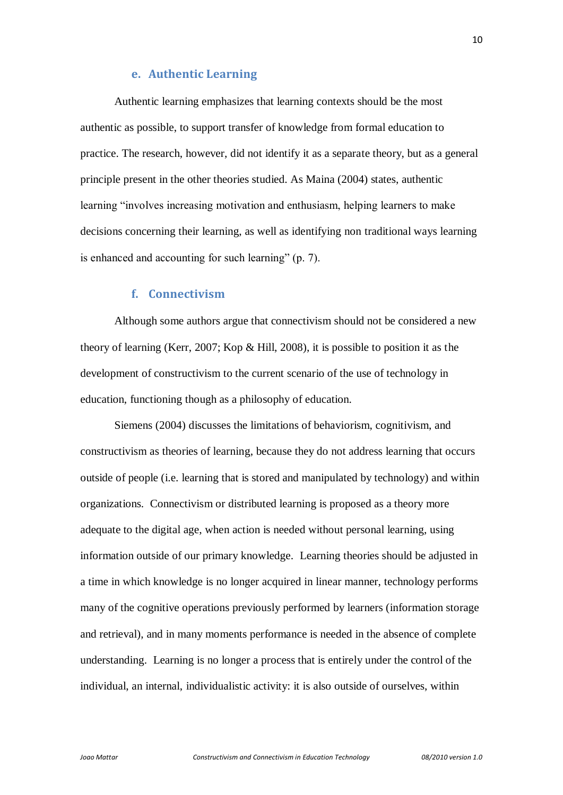#### **e. Authentic Learning**

Authentic learning emphasizes that learning contexts should be the most authentic as possible, to support transfer of knowledge from formal education to practice. The research, however, did not identify it as a separate theory, but as a general principle present in the other theories studied. As Maina (2004) states, authentic learning "involves increasing motivation and enthusiasm, helping learners to make decisions concerning their learning, as well as identifying non traditional ways learning is enhanced and accounting for such learning" (p. 7).

#### **f. Connectivism**

Although some authors argue that connectivism should not be considered a new theory of learning (Kerr, 2007; Kop & Hill, 2008), it is possible to position it as the development of constructivism to the current scenario of the use of technology in education, functioning though as a philosophy of education.

Siemens (2004) discusses the limitations of behaviorism, cognitivism, and constructivism as theories of learning, because they do not address learning that occurs outside of people (i.e. learning that is stored and manipulated by technology) and within organizations. Connectivism or distributed learning is proposed as a theory more adequate to the digital age, when action is needed without personal learning, using information outside of our primary knowledge. Learning theories should be adjusted in a time in which knowledge is no longer acquired in linear manner, technology performs many of the cognitive operations previously performed by learners (information storage and retrieval), and in many moments performance is needed in the absence of complete understanding. Learning is no longer a process that is entirely under the control of the individual, an internal, individualistic activity: it is also outside of ourselves, within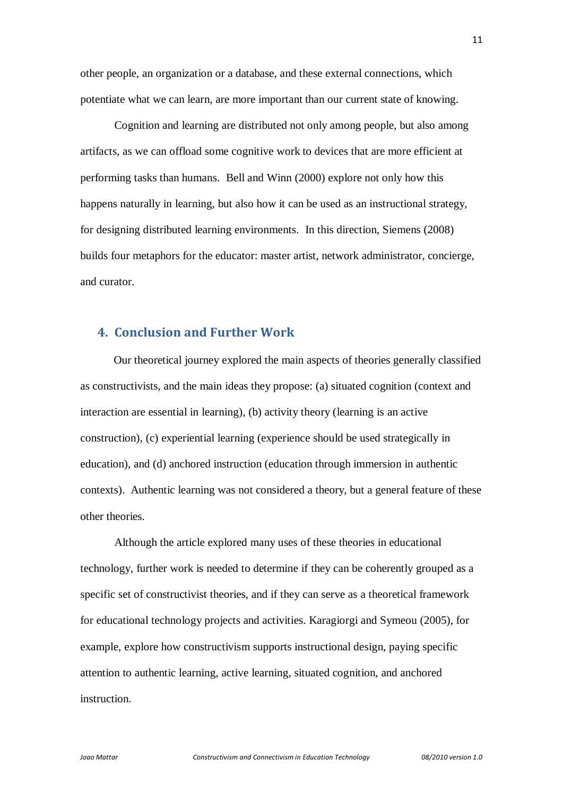other people, an organization or a database, and these external connections, which potentiate what we can learn, are more important than our current state of knowing.

Cognition and learning are distributed not only among people, but also among artifacts, as we can offload some cognitive work to devices that are more efficient at performing tasks than humans. Bell and Winn (2000) explore not only how this happens naturally in learning, but also how it can be used as an instructional strategy, for designing distributed learning environments. In this direction, Siemens (2008) builds four metaphors for the educator: master artist, network administrator, concierge, and curator.

## **4. Conclusion and Further Work**

Our theoretical journey explored the main aspects of theories generally classified as constructivists, and the main ideas they propose: (a) situated cognition (context and interaction are essential in learning), (b) activity theory (learning is an active construction), (c) experiential learning (experience should be used strategically in education), and (d) anchored instruction (education through immersion in authentic contexts). Authentic learning was not considered a theory, but a general feature of these other theories.

Although the article explored many uses of these theories in educational technology, further work is needed to determine if they can be coherently grouped as a specific set of constructivist theories, and if they can serve as a theoretical framework for educational technology projects and activities. Karagiorgi and Symeou (2005), for example, explore how constructivism supports instructional design, paying specific attention to authentic learning, active learning, situated cognition, and anchored instruction.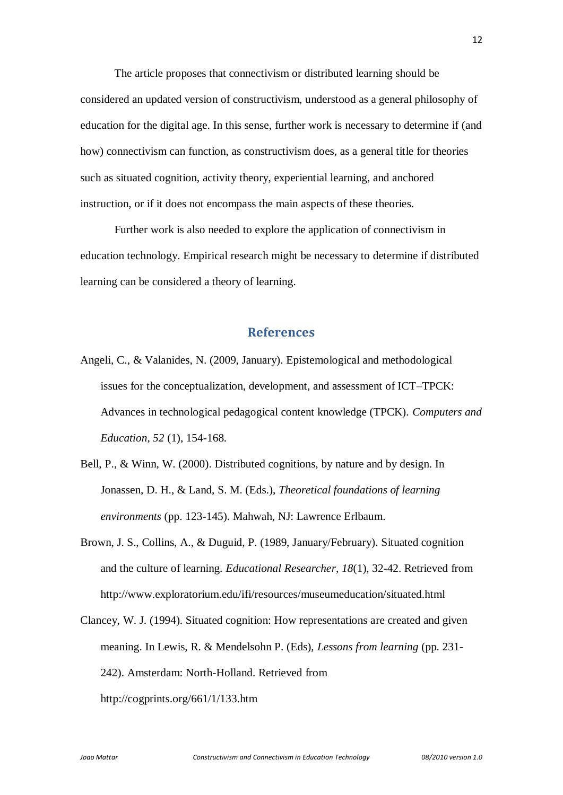The article proposes that connectivism or distributed learning should be considered an updated version of constructivism, understood as a general philosophy of education for the digital age. In this sense, further work is necessary to determine if (and how) connectivism can function, as constructivism does, as a general title for theories such as situated cognition, activity theory, experiential learning, and anchored instruction, or if it does not encompass the main aspects of these theories.

Further work is also needed to explore the application of connectivism in education technology. Empirical research might be necessary to determine if distributed learning can be considered a theory of learning.

#### **References**

- Angeli, C., & Valanides, N. (2009, January). Epistemological and methodological issues for the conceptualization, development, and assessment of ICT–TPCK: Advances in technological pedagogical content knowledge (TPCK). *Computers and Education, 52* (1), 154-168.
- Bell, P., & Winn, W. (2000). Distributed cognitions, by nature and by design. In Jonassen, D. H., & Land, S. M. (Eds.), *Theoretical foundations of learning environments* (pp. 123-145). Mahwah, NJ: Lawrence Erlbaum.
- Brown, J. S., Collins, A., & Duguid, P. (1989, January/February). Situated cognition and the culture of learning. *Educational Researcher*, *18*(1), 32-42. Retrieved from http://www.exploratorium.edu/ifi/resources/museumeducation/situated.html
- Clancey, W. J. (1994). Situated cognition: How representations are created and given meaning. In Lewis, R. & Mendelsohn P. (Eds), *Lessons from learning* (pp. 231- 242). Amsterdam: North-Holland. Retrieved from http://cogprints.org/661/1/133.htm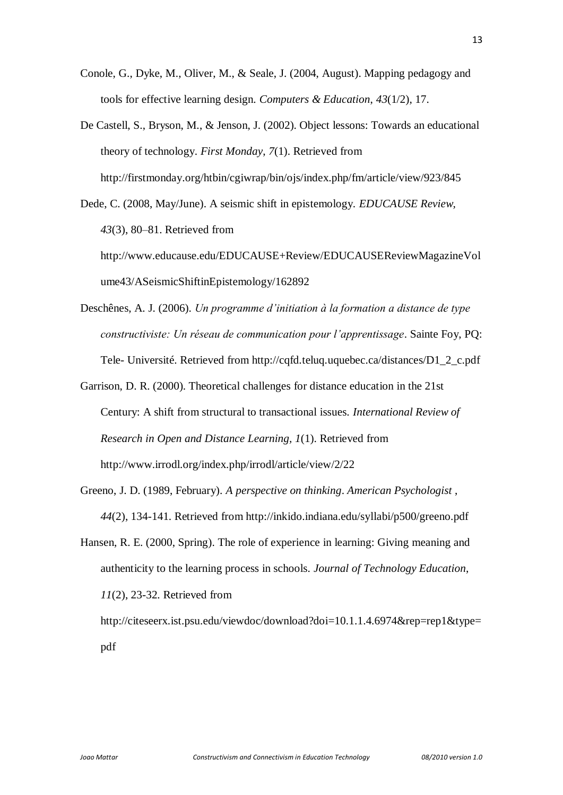- Conole, G., Dyke, M., Oliver, M., & Seale, J. (2004, August). Mapping pedagogy and tools for effective learning design. *Computers & Education*, *43*(1/2), 17.
- De Castell, S., Bryson, M., & Jenson, J. (2002). Object lessons: Towards an educational theory of technology. *First Monday*, *7*(1). Retrieved from http://firstmonday.org/htbin/cgiwrap/bin/ojs/index.php/fm/article/view/923/845
- Dede, C. (2008, May/June). A seismic shift in epistemology. *EDUCAUSE Review, 43*(3), 80–81. Retrieved from http://www.educause.edu/EDUCAUSE+Review/EDUCAUSEReviewMagazineVol ume43/ASeismicShiftinEpistemology/162892
- Deschênes, A. J. (2006). *Un programme d'initiation à la formation a distance de type constructiviste: Un réseau de communication pour l'apprentissage*. Sainte Foy, PQ: Tele- Université. Retrieved from http://cqfd.teluq.uquebec.ca/distances/D1\_2\_c.pdf
- Garrison, D. R. (2000). Theoretical challenges for distance education in the 21st Century: A shift from structural to transactional issues. *International Review of Research in Open and Distance Learning, 1*(1). Retrieved from http://www.irrodl.org/index.php/irrodl/article/view/2/22
- Greeno, J. D. (1989, February). *A perspective on thinking*. *American Psychologist* , *44*(2), 134-141. Retrieved from http://inkido.indiana.edu/syllabi/p500/greeno.pdf
- Hansen, R. E. (2000, Spring). The role of experience in learning: Giving meaning and authenticity to the learning process in schools. *Journal of Technology Education*, *11*(2), 23-32. Retrieved from

http://citeseerx.ist.psu.edu/viewdoc/download?doi=10.1.1.4.6974&rep=rep1&type= pdf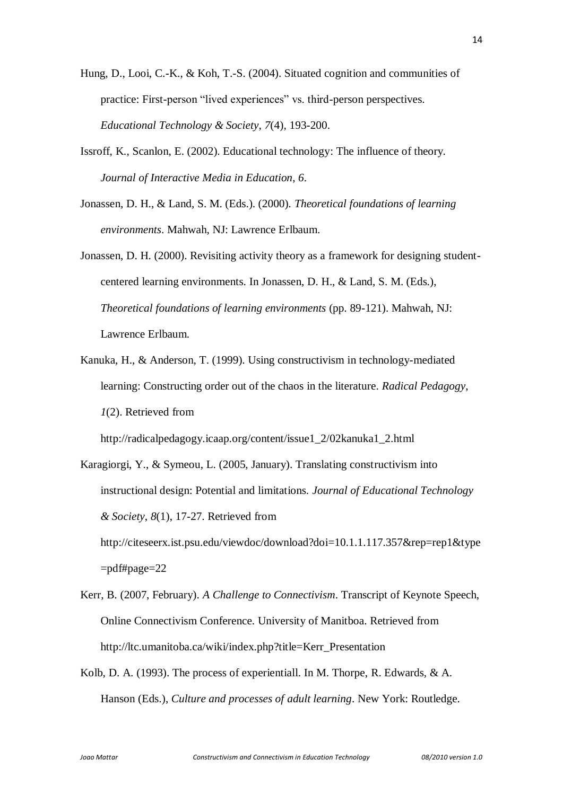- Hung, D., Looi, C.-K., & Koh, T.-S. (2004). Situated cognition and communities of practice: First-person "lived experiences" vs. third-person perspectives. *Educational Technology & Society*, *7*(4), 193-200.
- Issroff, K., Scanlon, E. (2002). Educational technology: The influence of theory. *Journal of Interactive Media in Education*, *6*.
- Jonassen, D. H., & Land, S. M. (Eds.). (2000). *Theoretical foundations of learning environments*. Mahwah, NJ: Lawrence Erlbaum.
- Jonassen, D. H. (2000). Revisiting activity theory as a framework for designing studentcentered learning environments. In Jonassen, D. H., & Land, S. M. (Eds.), *Theoretical foundations of learning environments* (pp. 89-121). Mahwah, NJ: Lawrence Erlbaum.
- Kanuka, H., & Anderson, T. (1999). Using constructivism in technology-mediated learning: Constructing order out of the chaos in the literature. *Radical Pedagogy*, *1*(2). Retrieved from

http://radicalpedagogy.icaap.org/content/issue1\_2/02kanuka1\_2.html

- Karagiorgi, Y., & Symeou, L. (2005, January). Translating constructivism into instructional design: Potential and limitations. *Journal of Educational Technology & Society*, *8*(1), 17-27. Retrieved from http://citeseerx.ist.psu.edu/viewdoc/download?doi=10.1.1.117.357&rep=rep1&type  $=$ pdf#page $=$ 22
- Kerr, B. (2007, February). *A Challenge to Connectivism*. Transcript of Keynote Speech, Online Connectivism Conference. University of Manitboa. Retrieved from http://ltc.umanitoba.ca/wiki/index.php?title=Kerr\_Presentation
- Kolb, D. A. (1993). The process of experientiall. In M. Thorpe, R. Edwards, & A. Hanson (Eds.), *Culture and processes of adult learning*. New York: Routledge.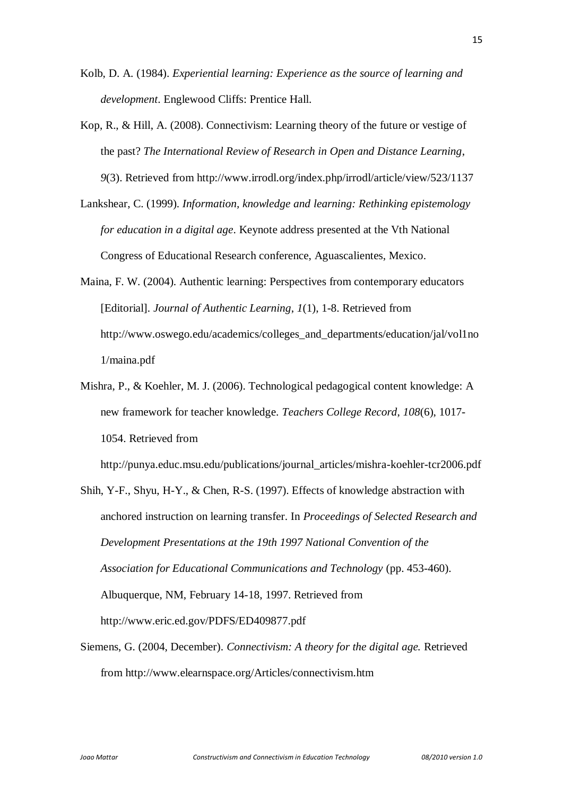- Kolb, D. A. (1984). *Experiential learning: Experience as the source of learning and development*. Englewood Cliffs: Prentice Hall.
- Kop, R., & Hill, A. (2008). Connectivism: Learning theory of the future or vestige of the past? *The International Review of Research in Open and Distance Learning*, *9*(3). Retrieved from http://www.irrodl.org/index.php/irrodl/article/view/523/1137
- Lankshear, C. (1999). *Information, knowledge and learning: Rethinking epistemology for education in a digital age*. Keynote address presented at the Vth National Congress of Educational Research conference, Aguascalientes, Mexico.
- Maina, F. W. (2004). Authentic learning: Perspectives from contemporary educators [Editorial]. *Journal of Authentic Learning*, *1*(1), 1-8. Retrieved from http://www.oswego.edu/academics/colleges\_and\_departments/education/jal/vol1no 1/maina.pdf
- Mishra, P., & Koehler, M. J. (2006). Technological pedagogical content knowledge: A new framework for teacher knowledge. *Teachers College Record*, *108*(6), 1017- 1054. Retrieved from

http://punya.educ.msu.edu/publications/journal\_articles/mishra-koehler-tcr2006.pdf

- Shih, Y-F., Shyu, H-Y., & Chen, R-S. (1997). Effects of knowledge abstraction with anchored instruction on learning transfer. In *Proceedings of Selected Research and Development Presentations at the 19th 1997 National Convention of the Association for Educational Communications and Technology* (pp. 453-460). Albuquerque, NM, February 14-18, 1997. Retrieved from http://www.eric.ed.gov/PDFS/ED409877.pdf
- Siemens, G. (2004, December). *Connectivism: A theory for the digital age.* Retrieved from http://www.elearnspace.org/Articles/connectivism.htm